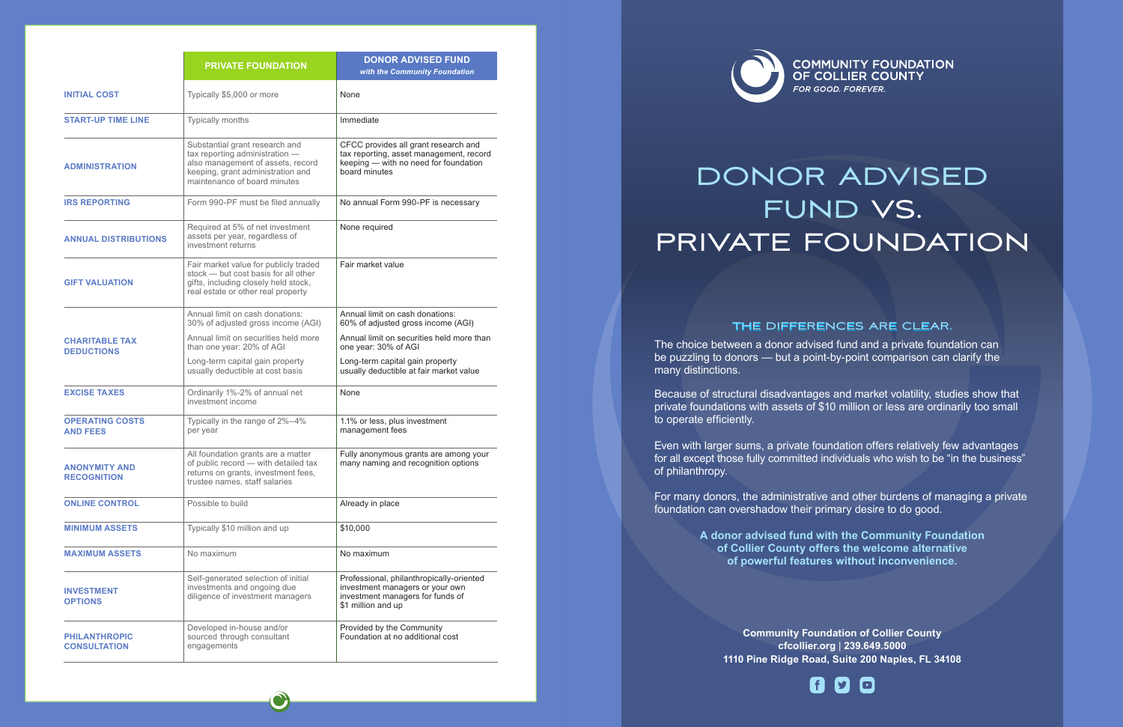|                                             | <b>PRIVATE FOUNDATION</b>                                                                                                                                                  | <b>DONOR ADVISED FUND</b><br>with the Community Foundation                                                                                |
|---------------------------------------------|----------------------------------------------------------------------------------------------------------------------------------------------------------------------------|-------------------------------------------------------------------------------------------------------------------------------------------|
| <b>INITIAL COST</b>                         | Typically \$5,000 or more                                                                                                                                                  | None                                                                                                                                      |
| <b>START-UP TIME LINE</b>                   | Typically months                                                                                                                                                           | Immediate                                                                                                                                 |
| <b>ADMINISTRATION</b>                       | Substantial grant research and<br>tax reporting administration -<br>also management of assets, record<br>keeping, grant administration and<br>maintenance of board minutes | CFCC provides all grant research and<br>tax reporting, asset management, record<br>keeping - with no need for foundation<br>board minutes |
| <b>IRS REPORTING</b>                        | Form 990-PF must be filed annually                                                                                                                                         | No annual Form 990-PF is necessary                                                                                                        |
| <b>ANNUAL DISTRIBUTIONS</b>                 | Required at 5% of net investment<br>assets per year, regardless of<br>investment returns                                                                                   | None required                                                                                                                             |
| <b>GIFT VALUATION</b>                       | Fair market value for publicly traded<br>stock - but cost basis for all other<br>gifts, including closely held stock,<br>real estate or other real property                | Fair market value                                                                                                                         |
|                                             | Annual limit on cash donations:<br>30% of adjusted gross income (AGI)                                                                                                      | Annual limit on cash donations:<br>60% of adjusted gross income (AGI)                                                                     |
| <b>CHARITABLE TAX</b><br><b>DEDUCTIONS</b>  | Annual limit on securities held more<br>than one year: 20% of AGI                                                                                                          | Annual limit on securities held more than<br>one year: 30% of AGI                                                                         |
|                                             | Long-term capital gain property<br>usually deductible at cost basis                                                                                                        | Long-term capital gain property<br>usually deductible at fair market value                                                                |
| <b>EXCISE TAXES</b>                         | Ordinarily 1%-2% of annual net<br>investment income                                                                                                                        | None                                                                                                                                      |
| <b>OPERATING COSTS</b><br><b>AND FEES</b>   | Typically in the range of 2%-4%<br>per year                                                                                                                                | 1.1% or less, plus investment<br>management fees                                                                                          |
| <b>ANONYMITY AND</b><br><b>RECOGNITION</b>  | All foundation grants are a matter<br>of public record - with detailed tax<br>returns on grants, investment fees,<br>trustee names, staff salaries                         | Fully anonymous grants are among your<br>many naming and recognition options                                                              |
| <b>ONLINE CONTROL</b>                       | Possible to build                                                                                                                                                          | Already in place                                                                                                                          |
| <b>MINIMUM ASSETS</b>                       | Typically \$10 million and up                                                                                                                                              | \$10,000                                                                                                                                  |
| <b>MAXIMUM ASSETS</b>                       | No maximum                                                                                                                                                                 | No maximum                                                                                                                                |
| <b>INVESTMENT</b><br><b>OPTIONS</b>         | Self-generated selection of initial<br>investments and ongoing due<br>diligence of investment managers                                                                     | Professional, philanthropically-oriented<br>investment managers or your own<br>investment managers for funds of<br>\$1 million and up     |
| <b>PHILANTHROPIC</b><br><b>CONSULTATION</b> | Developed in-house and/or<br>sourced through consultant<br>engagements                                                                                                     | Provided by the Community<br>Foundation at no additional cost                                                                             |



**Community Foundation of Collier County cfcollier.org** | **239.649.5000 1110 Pine Ridge Road, Suite 200 Naples, FL 34108**

COMMUNITY FOUNDATION<br>OF COLLIER COUNTY FOR GOOD. FOREVER.



# DONOR ADVISED FUND VS. PRIVATE FOUNDATION

### THE DIFFERENCES ARE CLEAR.

The choice between a donor advised fund and a private foundation can be puzzling to donors — but a point-by-point comparison can clarify the many distinctions.

Because of structural disadvantages and market volatility, studies show that private foundations with assets of \$10 million or less are ordinarily too small to operate efficiently.

Even with larger sums, a private foundation offers relatively few advantages for all except those fully committed individuals who wish to be "in the business" of philanthropy.

For many donors, the administrative and other burdens of managing a private foundation can overshadow their primary desire to do good.

> **A donor advised fund with the Community Foundation of Collier County offers the welcome alternative of powerful features without inconvenience.**